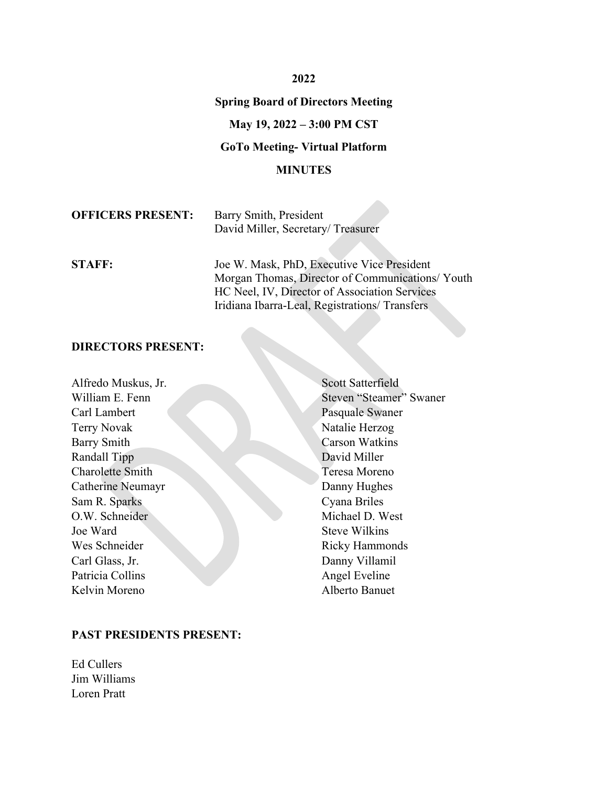#### **2022**

#### **Spring Board of Directors Meeting**

## **May 19, 2022 – 3:00 PM CST**

## **GoTo Meeting- Virtual Platform**

#### **MINUTES**

| <b>OFFICERS PRESENT:</b> | Barry Smith, President            |
|--------------------------|-----------------------------------|
|                          | David Miller, Secretary/Treasurer |

**STAFF:** Joe W. Mask, PhD, Executive Vice President Morgan Thomas, Director of Communications/ Youth HC Neel, IV, Director of Association Services Iridiana Ibarra-Leal, Registrations/ Transfers

#### **DIRECTORS PRESENT:**

| Alfredo Muskus, Jr.     | <b>Scott Satterfield</b> |
|-------------------------|--------------------------|
| William E. Fenn         | Steven "Steamer" Swaner  |
| Carl Lambert            | Pasquale Swaner          |
| <b>Terry Novak</b>      | Natalie Herzog           |
| Barry Smith             | <b>Carson Watkins</b>    |
| Randall Tipp            | David Miller             |
| <b>Charolette Smith</b> | Teresa Moreno            |
| Catherine Neumayr       | Danny Hughes             |
| Sam R. Sparks           | Cyana Briles             |
| O.W. Schneider          | Michael D. West          |
| Joe Ward                | <b>Steve Wilkins</b>     |
| Wes Schneider           | <b>Ricky Hammonds</b>    |
| Carl Glass, Jr.         | Danny Villamil           |
| Patricia Collins        | Angel Eveline            |
| Kelvin Moreno           | Alberto Banuet           |

#### **PAST PRESIDENTS PRESENT:**

Ed Cullers Jim Williams Loren Pratt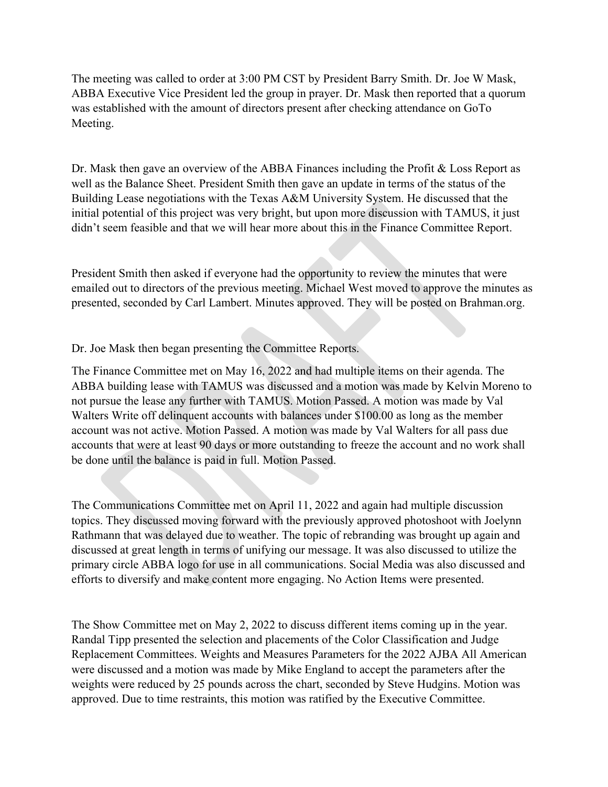The meeting was called to order at 3:00 PM CST by President Barry Smith. Dr. Joe W Mask, ABBA Executive Vice President led the group in prayer. Dr. Mask then reported that a quorum was established with the amount of directors present after checking attendance on GoTo Meeting.

Dr. Mask then gave an overview of the ABBA Finances including the Profit & Loss Report as well as the Balance Sheet. President Smith then gave an update in terms of the status of the Building Lease negotiations with the Texas A&M University System. He discussed that the initial potential of this project was very bright, but upon more discussion with TAMUS, it just didn't seem feasible and that we will hear more about this in the Finance Committee Report.

President Smith then asked if everyone had the opportunity to review the minutes that were emailed out to directors of the previous meeting. Michael West moved to approve the minutes as presented, seconded by Carl Lambert. Minutes approved. They will be posted on Brahman.org.

Dr. Joe Mask then began presenting the Committee Reports.

The Finance Committee met on May 16, 2022 and had multiple items on their agenda. The ABBA building lease with TAMUS was discussed and a motion was made by Kelvin Moreno to not pursue the lease any further with TAMUS. Motion Passed. A motion was made by Val Walters Write off delinquent accounts with balances under \$100.00 as long as the member account was not active. Motion Passed. A motion was made by Val Walters for all pass due accounts that were at least 90 days or more outstanding to freeze the account and no work shall be done until the balance is paid in full. Motion Passed.

The Communications Committee met on April 11, 2022 and again had multiple discussion topics. They discussed moving forward with the previously approved photoshoot with Joelynn Rathmann that was delayed due to weather. The topic of rebranding was brought up again and discussed at great length in terms of unifying our message. It was also discussed to utilize the primary circle ABBA logo for use in all communications. Social Media was also discussed and efforts to diversify and make content more engaging. No Action Items were presented.

The Show Committee met on May 2, 2022 to discuss different items coming up in the year. Randal Tipp presented the selection and placements of the Color Classification and Judge Replacement Committees. Weights and Measures Parameters for the 2022 AJBA All American were discussed and a motion was made by Mike England to accept the parameters after the weights were reduced by 25 pounds across the chart, seconded by Steve Hudgins. Motion was approved. Due to time restraints, this motion was ratified by the Executive Committee.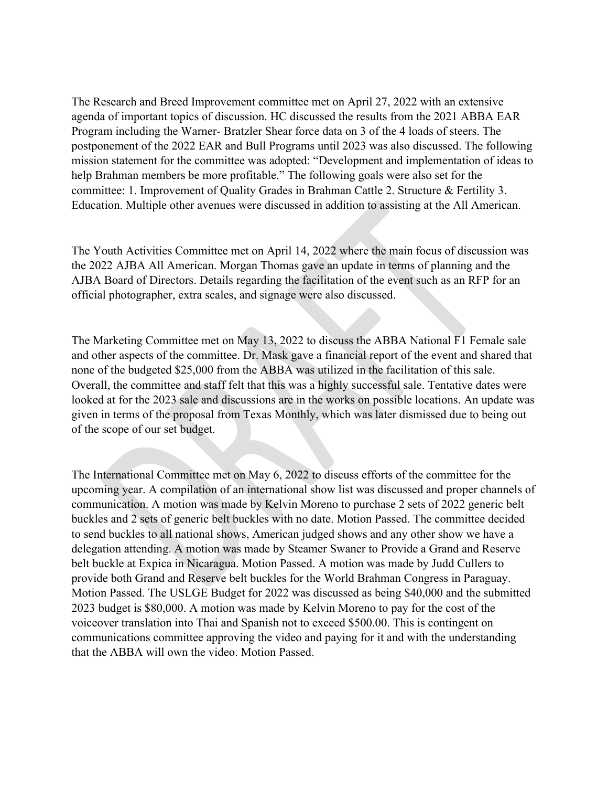The Research and Breed Improvement committee met on April 27, 2022 with an extensive agenda of important topics of discussion. HC discussed the results from the 2021 ABBA EAR Program including the Warner- Bratzler Shear force data on 3 of the 4 loads of steers. The postponement of the 2022 EAR and Bull Programs until 2023 was also discussed. The following mission statement for the committee was adopted: "Development and implementation of ideas to help Brahman members be more profitable." The following goals were also set for the committee: 1. Improvement of Quality Grades in Brahman Cattle 2. Structure & Fertility 3. Education. Multiple other avenues were discussed in addition to assisting at the All American.

The Youth Activities Committee met on April 14, 2022 where the main focus of discussion was the 2022 AJBA All American. Morgan Thomas gave an update in terms of planning and the AJBA Board of Directors. Details regarding the facilitation of the event such as an RFP for an official photographer, extra scales, and signage were also discussed.

The Marketing Committee met on May 13, 2022 to discuss the ABBA National F1 Female sale and other aspects of the committee. Dr. Mask gave a financial report of the event and shared that none of the budgeted \$25,000 from the ABBA was utilized in the facilitation of this sale. Overall, the committee and staff felt that this was a highly successful sale. Tentative dates were looked at for the 2023 sale and discussions are in the works on possible locations. An update was given in terms of the proposal from Texas Monthly, which was later dismissed due to being out of the scope of our set budget.

The International Committee met on May 6, 2022 to discuss efforts of the committee for the upcoming year. A compilation of an international show list was discussed and proper channels of communication. A motion was made by Kelvin Moreno to purchase 2 sets of 2022 generic belt buckles and 2 sets of generic belt buckles with no date. Motion Passed. The committee decided to send buckles to all national shows, American judged shows and any other show we have a delegation attending. A motion was made by Steamer Swaner to Provide a Grand and Reserve belt buckle at Expica in Nicaragua. Motion Passed. A motion was made by Judd Cullers to provide both Grand and Reserve belt buckles for the World Brahman Congress in Paraguay. Motion Passed. The USLGE Budget for 2022 was discussed as being \$40,000 and the submitted 2023 budget is \$80,000. A motion was made by Kelvin Moreno to pay for the cost of the voiceover translation into Thai and Spanish not to exceed \$500.00. This is contingent on communications committee approving the video and paying for it and with the understanding that the ABBA will own the video. Motion Passed.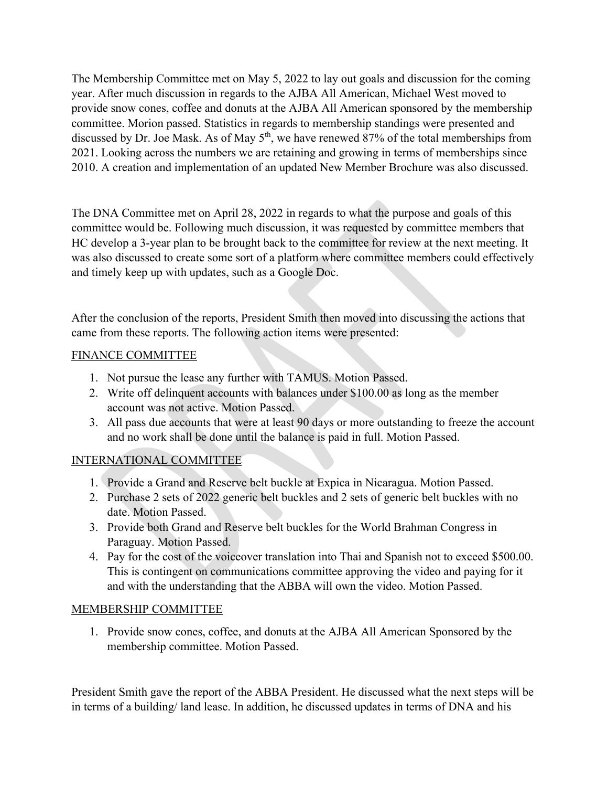The Membership Committee met on May 5, 2022 to lay out goals and discussion for the coming year. After much discussion in regards to the AJBA All American, Michael West moved to provide snow cones, coffee and donuts at the AJBA All American sponsored by the membership committee. Morion passed. Statistics in regards to membership standings were presented and discussed by Dr. Joe Mask. As of May  $5<sup>th</sup>$ , we have renewed 87% of the total memberships from 2021. Looking across the numbers we are retaining and growing in terms of memberships since 2010. A creation and implementation of an updated New Member Brochure was also discussed.

The DNA Committee met on April 28, 2022 in regards to what the purpose and goals of this committee would be. Following much discussion, it was requested by committee members that HC develop a 3-year plan to be brought back to the committee for review at the next meeting. It was also discussed to create some sort of a platform where committee members could effectively and timely keep up with updates, such as a Google Doc.

After the conclusion of the reports, President Smith then moved into discussing the actions that came from these reports. The following action items were presented:

## FINANCE COMMITTEE

- 1. Not pursue the lease any further with TAMUS. Motion Passed.
- 2. Write off delinquent accounts with balances under \$100.00 as long as the member account was not active. Motion Passed.
- 3. All pass due accounts that were at least 90 days or more outstanding to freeze the account and no work shall be done until the balance is paid in full. Motion Passed.

# INTERNATIONAL COMMITTEE

- 1. Provide a Grand and Reserve belt buckle at Expica in Nicaragua. Motion Passed.
- 2. Purchase 2 sets of 2022 generic belt buckles and 2 sets of generic belt buckles with no date. Motion Passed.
- 3. Provide both Grand and Reserve belt buckles for the World Brahman Congress in Paraguay. Motion Passed.
- 4. Pay for the cost of the voiceover translation into Thai and Spanish not to exceed \$500.00. This is contingent on communications committee approving the video and paying for it and with the understanding that the ABBA will own the video. Motion Passed.

## MEMBERSHIP COMMITTEE

1. Provide snow cones, coffee, and donuts at the AJBA All American Sponsored by the membership committee. Motion Passed.

President Smith gave the report of the ABBA President. He discussed what the next steps will be in terms of a building/ land lease. In addition, he discussed updates in terms of DNA and his